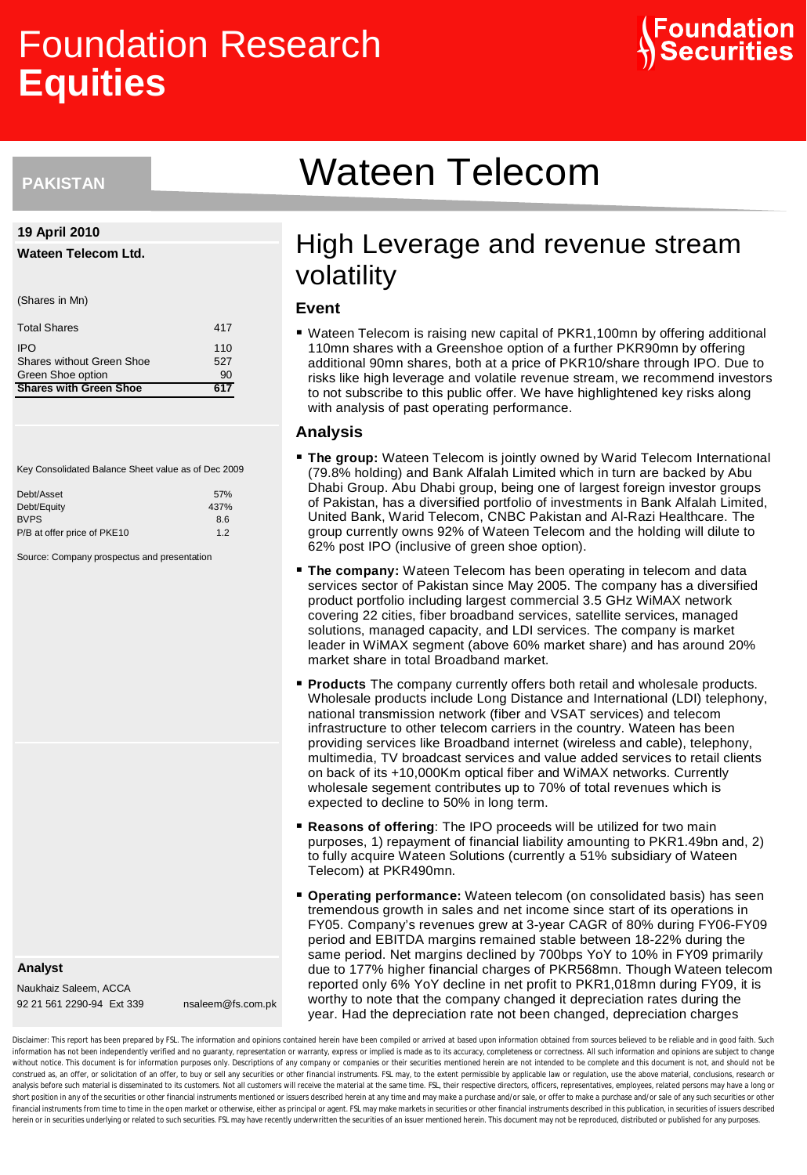# Foundation Research **Equities**



# **PAKISTAN**

#### **19 April 2010**

#### **Wateen Telecom Ltd.**

(Shares in Mn)

| <b>Total Shares</b>              | 417 |  |
|----------------------------------|-----|--|
| <b>IPO</b>                       | 110 |  |
| <b>Shares without Green Shoe</b> | 527 |  |
| Green Shoe option                | 90  |  |
| <b>Shares with Green Shoe</b>    | 617 |  |

Key Consolidated Balance Sheet value as of Dec 2009

| Debt/Asset                  | 57%  |
|-----------------------------|------|
| Debt/Equity                 | 437% |
| <b>BVPS</b>                 | 8.6  |
| P/B at offer price of PKE10 | 12   |

Source: Company prospectus and presentation

**Analyst**

Naukhaiz Saleem, ACCA 92 21 561 2290-94 Ext 339 nsaleem@fs.com.pk

# Wateen Telecom

# High Leverage and revenue stream volatility

# **Event**

■ Wateen Telecom is raising new capital of PKR1,100mn by offering additional 110mn shares with a Greenshoe option of a further PKR90mn by offering additional 90mn shares, both at a price of PKR10/share through IPO. Due to risks like high leverage and volatile revenue stream, we recommend investors to not subscribe to this public offer. We have highlightened key risks along with analysis of past operating performance.

#### **Analysis**

- **The group:** Wateen Telecom is jointly owned by Warid Telecom International (79.8% holding) and Bank Alfalah Limited which in turn are backed by Abu Dhabi Group. Abu Dhabi group, being one of largest foreign investor groups of Pakistan, has a diversified portfolio of investments in Bank Alfalah Limited, United Bank, Warid Telecom, CNBC Pakistan and Al-Razi Healthcare. The group currently owns 92% of Wateen Telecom and the holding will dilute to 62% post IPO (inclusive of green shoe option).
- **The company:** Wateen Telecom has been operating in telecom and data services sector of Pakistan since May 2005. The company has a diversified product portfolio including largest commercial 3.5 GHz WiMAX network covering 22 cities, fiber broadband services, satellite services, managed solutions, managed capacity, and LDI services. The company is market leader in WiMAX segment (above 60% market share) and has around 20% market share in total Broadband market.
- **Products** The company currently offers both retail and wholesale products. Wholesale products include Long Distance and International (LDI) telephony, national transmission network (fiber and VSAT services) and telecom infrastructure to other telecom carriers in the country. Wateen has been providing services like Broadband internet (wireless and cable), telephony, multimedia, TV broadcast services and value added services to retail clients on back of its +10,000Km optical fiber and WiMAX networks. Currently wholesale segement contributes up to 70% of total revenues which is expected to decline to 50% in long term.
- **Reasons of offering**: The IPO proceeds will be utilized for two main purposes, 1) repayment of financial liability amounting to PKR1.49bn and, 2) to fully acquire Wateen Solutions (currently a 51% subsidiary of Wateen Telecom) at PKR490mn.
- **Operating performance:** Wateen telecom (on consolidated basis) has seen tremendous growth in sales and net income since start of its operations in FY05. Company's revenues grew at 3-year CAGR of 80% during FY06-FY09 period and EBITDA margins remained stable between 18-22% during the same period. Net margins declined by 700bps YoY to 10% in FY09 primarily due to 177% higher financial charges of PKR568mn. Though Wateen telecom reported only 6% YoY decline in net profit to PKR1,018mn during FY09, it is worthy to note that the company changed it depreciation rates during the year. Had the depreciation rate not been changed, depreciation charges

Disclaimer: This report has been prepared by FSL. The information and opinions contained herein have been compiled or arrived at based upon information obtained from sources believed to be reliable and in good faith. Such information has not been independently verified and no guaranty, representation or warranty, express or implied is made as to its accuracy, completeness or correctness. All such information and opinions are subject to chan without notice. This document is for information purposes only. Descriptions of any company or companies or their securities mentioned herein are not intended to be complete and this document is not, and should not be construed as, an offer, or solicitation of an offer, to buy or sell any securities or other financial instruments. FSL may, to the extent permissible by applicable law or regulation, use the above material, conclusions, re analysis before such material is disseminated to its customers. Not all customers will receive the material at the same time. FSL, their respective directors, officers, representatives, employees, related persons may have short position in any of the securities or other financial instruments mentioned or issuers described herein at any time and may make a purchase and/or sale, or offer to make a purchase and/or sale of any such securities o financial instruments from time to time in the open market or otherwise, either as principal or agent. FSL may make markets in securities or other financial instruments described in this publication, in securities of issue herein or in securities underlying or related to such securities. FSL may have recently underwritten the securities of an issuer mentioned herein. This document may not be reproduced, distributed or published for any purpo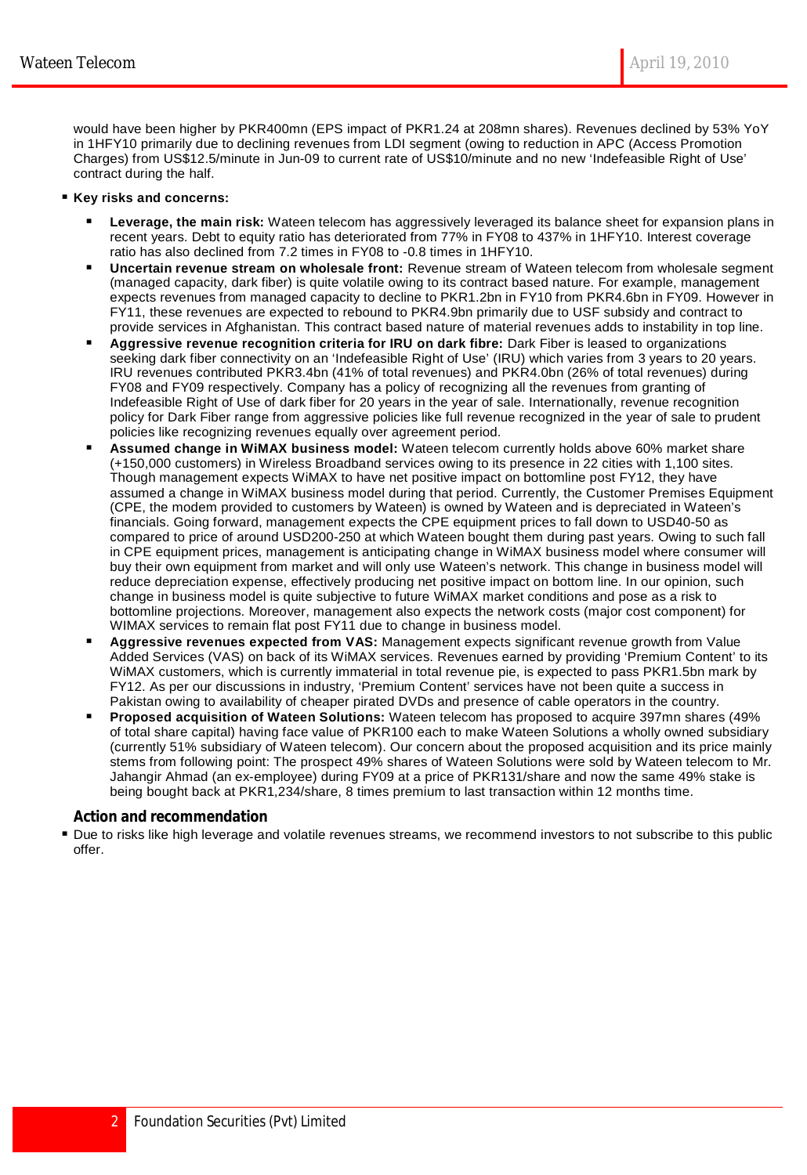would have been higher by PKR400mn (EPS impact of PKR1.24 at 208mn shares). Revenues declined by 53% YoY in 1HFY10 primarily due to declining revenues from LDI segment (owing to reduction in APC (Access Promotion Charges) from US\$12.5/minute in Jun-09 to current rate of US\$10/minute and no new 'Indefeasible Right of Use' contract during the half.

### **Key risks and concerns:**

- **Leverage, the main risk:** Wateen telecom has aggressively leveraged its balance sheet for expansion plans in recent years. Debt to equity ratio has deteriorated from 77% in FY08 to 437% in 1HFY10. Interest coverage ratio has also declined from 7.2 times in FY08 to -0.8 times in 1HFY10.
- **Uncertain revenue stream on wholesale front:** Revenue stream of Wateen telecom from wholesale segment (managed capacity, dark fiber) is quite volatile owing to its contract based nature. For example, management expects revenues from managed capacity to decline to PKR1.2bn in FY10 from PKR4.6bn in FY09. However in FY11, these revenues are expected to rebound to PKR4.9bn primarily due to USF subsidy and contract to provide services in Afghanistan. This contract based nature of material revenues adds to instability in top line.
- **Aggressive revenue recognition criteria for IRU on dark fibre:** Dark Fiber is leased to organizations seeking dark fiber connectivity on an 'Indefeasible Right of Use' (IRU) which varies from 3 years to 20 years. IRU revenues contributed PKR3.4bn (41% of total revenues) and PKR4.0bn (26% of total revenues) during FY08 and FY09 respectively. Company has a policy of recognizing all the revenues from granting of Indefeasible Right of Use of dark fiber for 20 years in the year of sale. Internationally, revenue recognition policy for Dark Fiber range from aggressive policies like full revenue recognized in the year of sale to prudent policies like recognizing revenues equally over agreement period.
- **Assumed change in WiMAX business model:** Wateen telecom currently holds above 60% market share (+150,000 customers) in Wireless Broadband services owing to its presence in 22 cities with 1,100 sites. Though management expects WiMAX to have net positive impact on bottomline post FY12, they have assumed a change in WiMAX business model during that period. Currently, the Customer Premises Equipment (CPE, the modem provided to customers by Wateen) is owned by Wateen and is depreciated in Wateen's financials. Going forward, management expects the CPE equipment prices to fall down to USD40-50 as compared to price of around USD200-250 at which Wateen bought them during past years. Owing to such fall in CPE equipment prices, management is anticipating change in WiMAX business model where consumer will buy their own equipment from market and will only use Wateen's network. This change in business model will reduce depreciation expense, effectively producing net positive impact on bottom line. In our opinion, such change in business model is quite subjective to future WiMAX market conditions and pose as a risk to bottomline projections. Moreover, management also expects the network costs (major cost component) for WIMAX services to remain flat post FY11 due to change in business model.
- **Aggressive revenues expected from VAS:** Management expects significant revenue growth from Value Added Services (VAS) on back of its WiMAX services. Revenues earned by providing 'Premium Content' to its WiMAX customers, which is currently immaterial in total revenue pie, is expected to pass PKR1.5bn mark by FY12. As per our discussions in industry, 'Premium Content' services have not been quite a success in Pakistan owing to availability of cheaper pirated DVDs and presence of cable operators in the country.
- **Proposed acquisition of Wateen Solutions:** Wateen telecom has proposed to acquire 397mn shares (49% of total share capital) having face value of PKR100 each to make Wateen Solutions a wholly owned subsidiary (currently 51% subsidiary of Wateen telecom). Our concern about the proposed acquisition and its price mainly stems from following point: The prospect 49% shares of Wateen Solutions were sold by Wateen telecom to Mr. Jahangir Ahmad (an ex-employee) during FY09 at a price of PKR131/share and now the same 49% stake is being bought back at PKR1,234/share, 8 times premium to last transaction within 12 months time.

## **Action and recommendation**

 Due to risks like high leverage and volatile revenues streams, we recommend investors to not subscribe to this public offer.